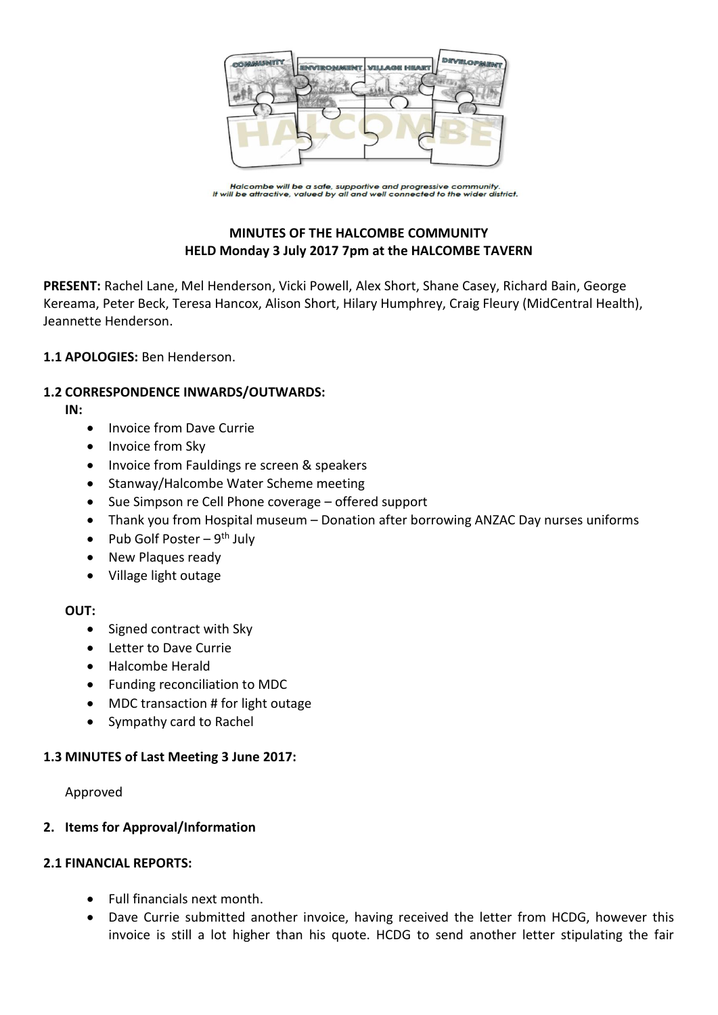

Halcombe will be a safe, supportive and progressive community.<br>It will be attractive, valued by all and well connected to the wider district.

# **MINUTES OF THE HALCOMBE COMMUNITY HELD Monday 3 July 2017 7pm at the HALCOMBE TAVERN**

**PRESENT:** Rachel Lane, Mel Henderson, Vicki Powell, Alex Short, Shane Casey, Richard Bain, George Kereama, Peter Beck, Teresa Hancox, Alison Short, Hilary Humphrey, Craig Fleury (MidCentral Health), Jeannette Henderson.

### **1.1 APOLOGIES:** Ben Henderson.

### **1.2 CORRESPONDENCE INWARDS/OUTWARDS:**

**IN:** 

- Invoice from Dave Currie
- Invoice from Sky
- Invoice from Fauldings re screen & speakers
- Stanway/Halcombe Water Scheme meeting
- Sue Simpson re Cell Phone coverage offered support
- Thank you from Hospital museum Donation after borrowing ANZAC Day nurses uniforms
- Pub Golf Poster  $9^{th}$  July
- New Plaques ready
- Village light outage

### **OUT:**

- Signed contract with Sky
- Letter to Dave Currie
- Halcombe Herald
- Funding reconciliation to MDC
- MDC transaction # for light outage
- Sympathy card to Rachel

### **1.3 MINUTES of Last Meeting 3 June 2017:**

Approved

### **2. Items for Approval/Information**

### **2.1 FINANCIAL REPORTS:**

- Full financials next month.
- Dave Currie submitted another invoice, having received the letter from HCDG, however this invoice is still a lot higher than his quote. HCDG to send another letter stipulating the fair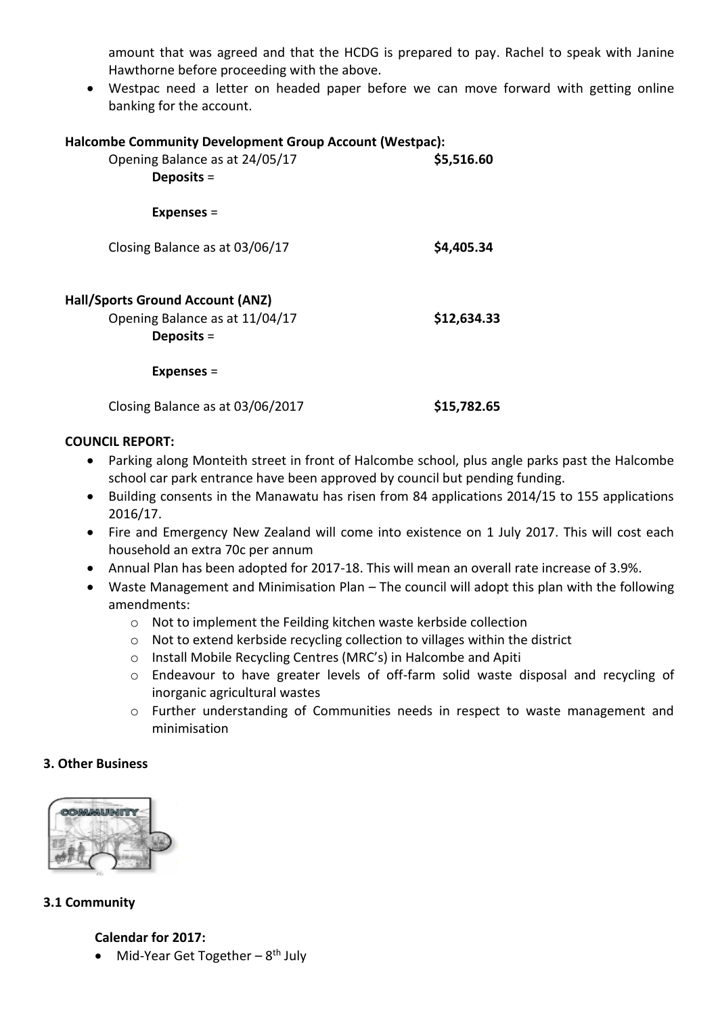amount that was agreed and that the HCDG is prepared to pay. Rachel to speak with Janine Hawthorne before proceeding with the above.

 Westpac need a letter on headed paper before we can move forward with getting online banking for the account.

| Halcombe Community Development Group Account (Westpac): |  |
|---------------------------------------------------------|--|
|                                                         |  |

| Opening Balance as at 24/05/17<br>Deposits $=$                                     | \$5,516.60  |
|------------------------------------------------------------------------------------|-------------|
| <b>Expenses =</b>                                                                  |             |
| Closing Balance as at 03/06/17                                                     | \$4,405.34  |
| Hall/Sports Ground Account (ANZ)<br>Opening Balance as at 11/04/17<br>Deposits $=$ | \$12,634.33 |
| <b>Expenses =</b>                                                                  |             |
| Closing Balance as at 03/06/2017                                                   | \$15,782.65 |

### **COUNCIL REPORT:**

- Parking along Monteith street in front of Halcombe school, plus angle parks past the Halcombe school car park entrance have been approved by council but pending funding.
- Building consents in the Manawatu has risen from 84 applications 2014/15 to 155 applications 2016/17.
- Fire and Emergency New Zealand will come into existence on 1 July 2017. This will cost each household an extra 70c per annum
- Annual Plan has been adopted for 2017-18. This will mean an overall rate increase of 3.9%.
- Waste Management and Minimisation Plan The council will adopt this plan with the following amendments:
	- o Not to implement the Feilding kitchen waste kerbside collection
	- o Not to extend kerbside recycling collection to villages within the district
	- o Install Mobile Recycling Centres (MRC's) in Halcombe and Apiti
	- o Endeavour to have greater levels of off-farm solid waste disposal and recycling of inorganic agricultural wastes
	- o Further understanding of Communities needs in respect to waste management and minimisation

# **3. Other Business**



# **3.1 Community**

# **Calendar for 2017:**

• Mid-Year Get Together - 8<sup>th</sup> July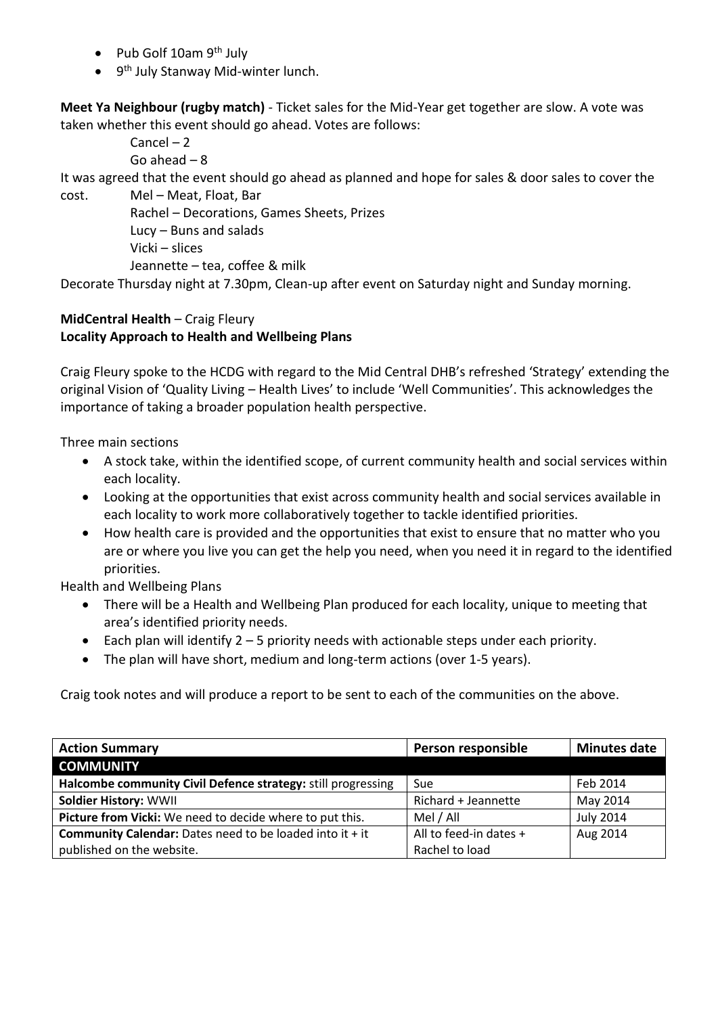- Pub Golf  $10$ am 9<sup>th</sup> July
- 9<sup>th</sup> July Stanway Mid-winter lunch.

**Meet Ya Neighbour (rugby match)** - Ticket sales for the Mid-Year get together are slow. A vote was taken whether this event should go ahead. Votes are follows:

> Cancel – 2 Go ahead – 8

It was agreed that the event should go ahead as planned and hope for sales & door sales to cover the

cost. Mel – Meat, Float, Bar Rachel – Decorations, Games Sheets, Prizes Lucy – Buns and salads Vicki – slices Jeannette – tea, coffee & milk

Decorate Thursday night at 7.30pm, Clean-up after event on Saturday night and Sunday morning.

# **MidCentral Health** – Craig Fleury **Locality Approach to Health and Wellbeing Plans**

Craig Fleury spoke to the HCDG with regard to the Mid Central DHB's refreshed 'Strategy' extending the original Vision of 'Quality Living – Health Lives' to include 'Well Communities'. This acknowledges the importance of taking a broader population health perspective.

Three main sections

- A stock take, within the identified scope, of current community health and social services within each locality.
- Looking at the opportunities that exist across community health and social services available in each locality to work more collaboratively together to tackle identified priorities.
- How health care is provided and the opportunities that exist to ensure that no matter who you are or where you live you can get the help you need, when you need it in regard to the identified priorities.

Health and Wellbeing Plans

- There will be a Health and Wellbeing Plan produced for each locality, unique to meeting that area's identified priority needs.
- Each plan will identify  $2 5$  priority needs with actionable steps under each priority.
- The plan will have short, medium and long-term actions (over 1-5 years).

Craig took notes and will produce a report to be sent to each of the communities on the above.

| <b>Action Summary</b>                                             | Person responsible     | <b>Minutes date</b> |
|-------------------------------------------------------------------|------------------------|---------------------|
| <b>COMMUNITY</b>                                                  |                        |                     |
| Halcombe community Civil Defence strategy: still progressing      | Sue                    | Feb 2014            |
| <b>Soldier History: WWII</b>                                      | Richard + Jeannette    | May 2014            |
| Picture from Vicki: We need to decide where to put this.          | Mel / All              | <b>July 2014</b>    |
| <b>Community Calendar:</b> Dates need to be loaded into it $+$ it | All to feed-in dates + | Aug 2014            |
| published on the website.                                         | Rachel to load         |                     |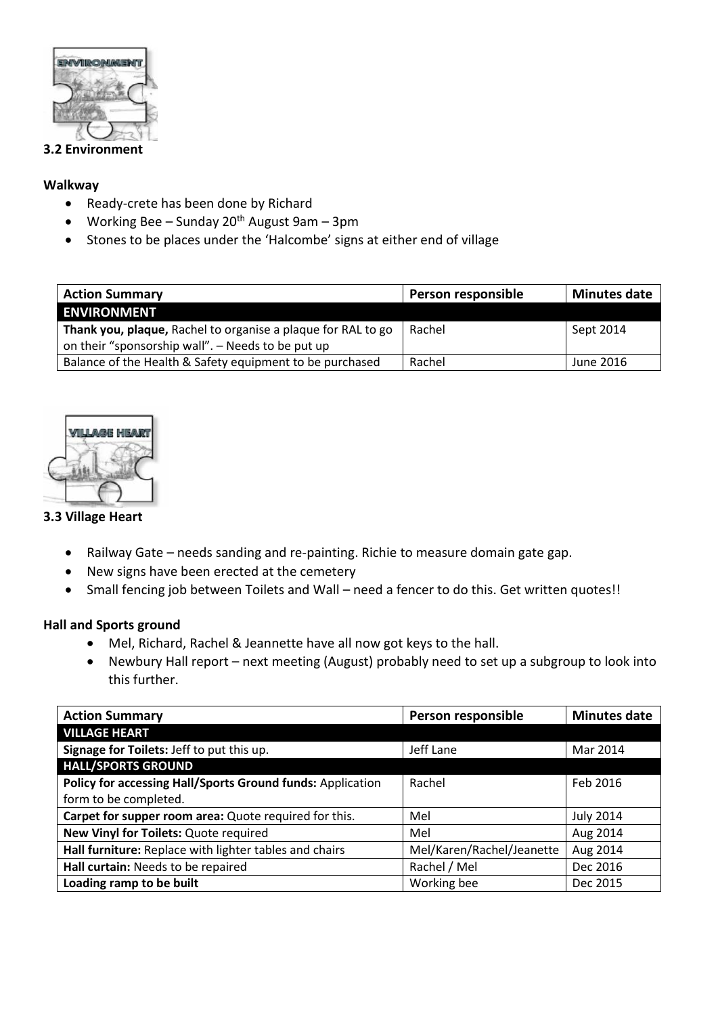

### **3.2 Environment**

### **Walkway**

- Ready-crete has been done by Richard
- Working Bee Sunday  $20<sup>th</sup>$  August 9am 3pm
- Stones to be places under the 'Halcombe' signs at either end of village

| <b>Action Summary</b>                                        | Person responsible | <b>Minutes date</b> |
|--------------------------------------------------------------|--------------------|---------------------|
| <b>ENVIRONMENT</b>                                           |                    |                     |
| Thank you, plaque, Rachel to organise a plaque for RAL to go | Rachel             | Sept 2014           |
| on their "sponsorship wall". - Needs to be put up            |                    |                     |
| Balance of the Health & Safety equipment to be purchased     | Rachel             | June 2016           |



# **3.3 Village Heart**

- Railway Gate needs sanding and re-painting. Richie to measure domain gate gap.
- New signs have been erected at the cemetery
- Small fencing job between Toilets and Wall need a fencer to do this. Get written quotes!!

# **Hall and Sports ground**

- Mel, Richard, Rachel & Jeannette have all now got keys to the hall.
- Newbury Hall report next meeting (August) probably need to set up a subgroup to look into this further.

| <b>Action Summary</b>                                      | Person responsible        | <b>Minutes date</b> |
|------------------------------------------------------------|---------------------------|---------------------|
| <b>VILLAGE HEART</b>                                       |                           |                     |
| Signage for Toilets: Jeff to put this up.                  | Jeff Lane                 | Mar 2014            |
| <b>HALL/SPORTS GROUND</b>                                  |                           |                     |
| Policy for accessing Hall/Sports Ground funds: Application | Rachel                    | Feb 2016            |
| form to be completed.                                      |                           |                     |
| Carpet for supper room area: Quote required for this.      | Mel                       | <b>July 2014</b>    |
| New Vinyl for Toilets: Quote required                      | Mel                       | Aug 2014            |
| Hall furniture: Replace with lighter tables and chairs     | Mel/Karen/Rachel/Jeanette | Aug 2014            |
| Hall curtain: Needs to be repaired                         | Rachel / Mel              | Dec 2016            |
| Loading ramp to be built                                   | Working bee               | Dec 2015            |